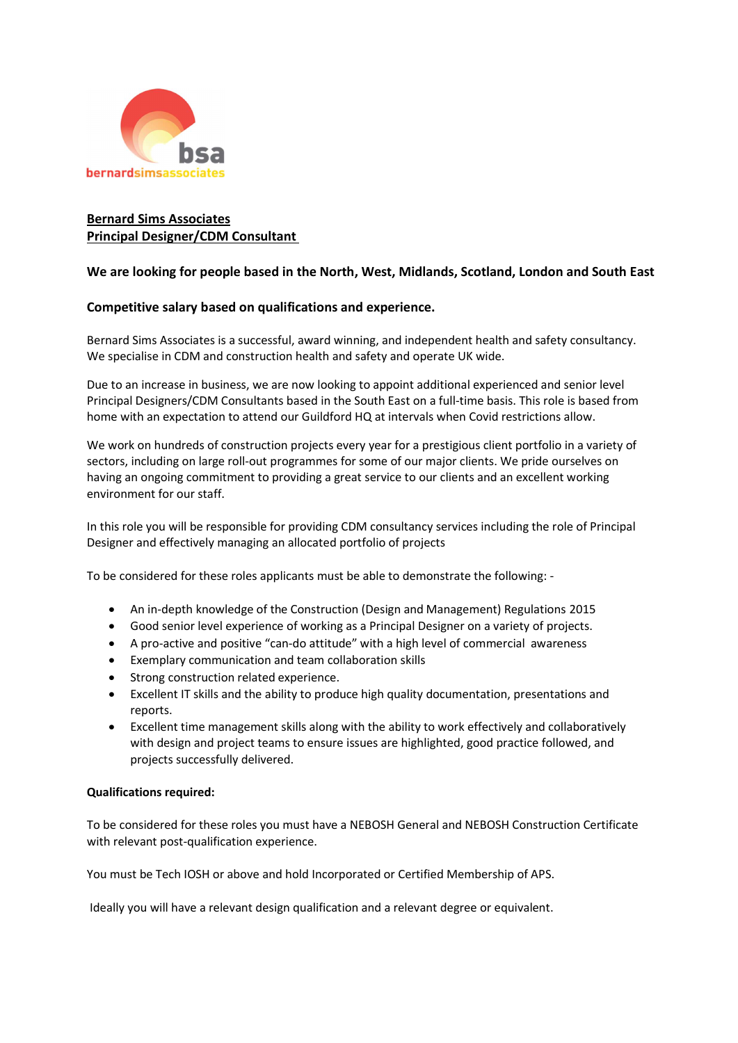

## Bernard Sims Associates Principal Designer/CDM Consultant

## We are looking for people based in the North, West, Midlands, Scotland, London and South East

## Competitive salary based on qualifications and experience.

Bernard Sims Associates is a successful, award winning, and independent health and safety consultancy. We specialise in CDM and construction health and safety and operate UK wide.

Due to an increase in business, we are now looking to appoint additional experienced and senior level Principal Designers/CDM Consultants based in the South East on a full-time basis. This role is based from home with an expectation to attend our Guildford HQ at intervals when Covid restrictions allow.

We work on hundreds of construction projects every year for a prestigious client portfolio in a variety of sectors, including on large roll-out programmes for some of our major clients. We pride ourselves on having an ongoing commitment to providing a great service to our clients and an excellent working environment for our staff.

In this role you will be responsible for providing CDM consultancy services including the role of Principal Designer and effectively managing an allocated portfolio of projects

To be considered for these roles applicants must be able to demonstrate the following: -

- An in-depth knowledge of the Construction (Design and Management) Regulations 2015
- Good senior level experience of working as a Principal Designer on a variety of projects.
- A pro-active and positive "can-do attitude" with a high level of commercial awareness
- Exemplary communication and team collaboration skills
- Strong construction related experience.
- Excellent IT skills and the ability to produce high quality documentation, presentations and reports.
- Excellent time management skills along with the ability to work effectively and collaboratively with design and project teams to ensure issues are highlighted, good practice followed, and projects successfully delivered.

## Qualifications required:

To be considered for these roles you must have a NEBOSH General and NEBOSH Construction Certificate with relevant post-qualification experience.

You must be Tech IOSH or above and hold Incorporated or Certified Membership of APS.

Ideally you will have a relevant design qualification and a relevant degree or equivalent.